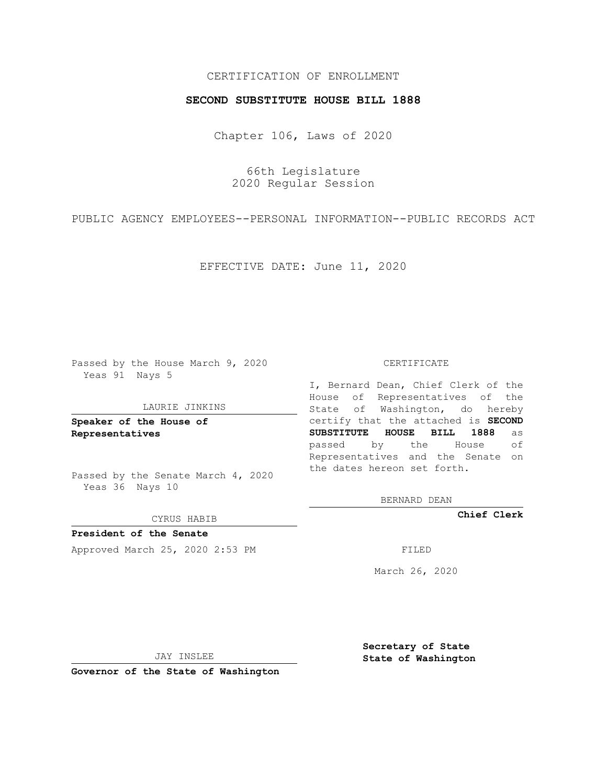## CERTIFICATION OF ENROLLMENT

## **SECOND SUBSTITUTE HOUSE BILL 1888**

Chapter 106, Laws of 2020

66th Legislature 2020 Regular Session

PUBLIC AGENCY EMPLOYEES--PERSONAL INFORMATION--PUBLIC RECORDS ACT

EFFECTIVE DATE: June 11, 2020

Passed by the House March 9, 2020 Yeas 91 Nays 5

#### LAURIE JINKINS

**Speaker of the House of Representatives**

Passed by the Senate March 4, 2020 Yeas 36 Nays 10

CYRUS HABIB

**President of the Senate** Approved March 25, 2020 2:53 PM

#### CERTIFICATE

I, Bernard Dean, Chief Clerk of the House of Representatives of the State of Washington, do hereby certify that the attached is **SECOND SUBSTITUTE HOUSE BILL 1888** as passed by the House of Representatives and the Senate on the dates hereon set forth.

BERNARD DEAN

**Chief Clerk**

March 26, 2020

JAY INSLEE

**Governor of the State of Washington**

**Secretary of State State of Washington**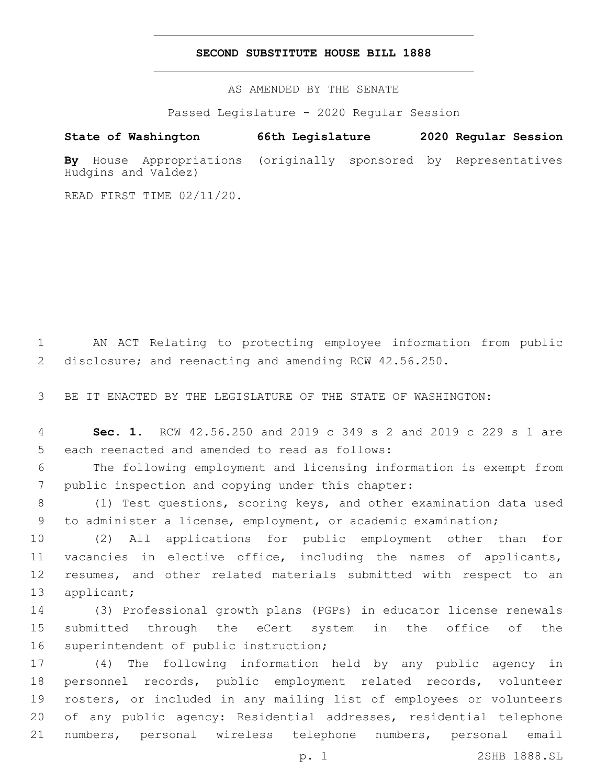## **SECOND SUBSTITUTE HOUSE BILL 1888**

AS AMENDED BY THE SENATE

Passed Legislature - 2020 Regular Session

# **State of Washington 66th Legislature 2020 Regular Session**

**By** House Appropriations (originally sponsored by Representatives Hudgins and Valdez)

READ FIRST TIME 02/11/20.

1 AN ACT Relating to protecting employee information from public 2 disclosure; and reenacting and amending RCW 42.56.250.

3 BE IT ENACTED BY THE LEGISLATURE OF THE STATE OF WASHINGTON:

4 **Sec. 1.** RCW 42.56.250 and 2019 c 349 s 2 and 2019 c 229 s 1 are 5 each reenacted and amended to read as follows:

6 The following employment and licensing information is exempt from 7 public inspection and copying under this chapter:

8 (1) Test questions, scoring keys, and other examination data used 9 to administer a license, employment, or academic examination;

 (2) All applications for public employment other than for vacancies in elective office, including the names of applicants, resumes, and other related materials submitted with respect to an 13 applicant;

14 (3) Professional growth plans (PGPs) in educator license renewals 15 submitted through the eCert system in the office of the 16 superintendent of public instruction;

 (4) The following information held by any public agency in personnel records, public employment related records, volunteer rosters, or included in any mailing list of employees or volunteers of any public agency: Residential addresses, residential telephone numbers, personal wireless telephone numbers, personal email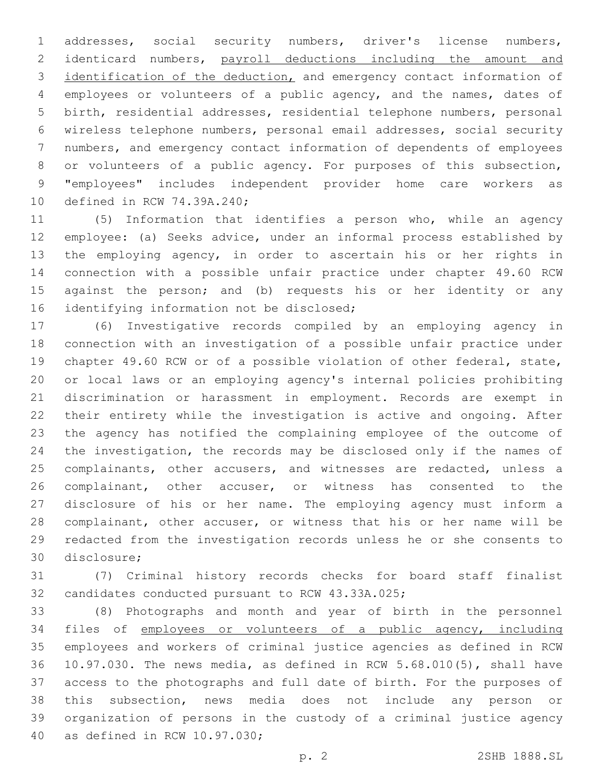addresses, social security numbers, driver's license numbers, identicard numbers, payroll deductions including the amount and identification of the deduction, and emergency contact information of employees or volunteers of a public agency, and the names, dates of birth, residential addresses, residential telephone numbers, personal wireless telephone numbers, personal email addresses, social security numbers, and emergency contact information of dependents of employees or volunteers of a public agency. For purposes of this subsection, "employees" includes independent provider home care workers as 10 defined in RCW 74.39A.240;

 (5) Information that identifies a person who, while an agency employee: (a) Seeks advice, under an informal process established by the employing agency, in order to ascertain his or her rights in connection with a possible unfair practice under chapter 49.60 RCW against the person; and (b) requests his or her identity or any 16 identifying information not be disclosed;

 (6) Investigative records compiled by an employing agency in connection with an investigation of a possible unfair practice under chapter 49.60 RCW or of a possible violation of other federal, state, or local laws or an employing agency's internal policies prohibiting discrimination or harassment in employment. Records are exempt in their entirety while the investigation is active and ongoing. After the agency has notified the complaining employee of the outcome of the investigation, the records may be disclosed only if the names of 25 complainants, other accusers, and witnesses are redacted, unless a complainant, other accuser, or witness has consented to the disclosure of his or her name. The employing agency must inform a complainant, other accuser, or witness that his or her name will be redacted from the investigation records unless he or she consents to 30 disclosure:

 (7) Criminal history records checks for board staff finalist 32 candidates conducted pursuant to RCW 43.33A.025;

 (8) Photographs and month and year of birth in the personnel files of employees or volunteers of a public agency, including employees and workers of criminal justice agencies as defined in RCW 10.97.030. The news media, as defined in RCW 5.68.010(5), shall have access to the photographs and full date of birth. For the purposes of this subsection, news media does not include any person or organization of persons in the custody of a criminal justice agency 40 as defined in RCW 10.97.030;